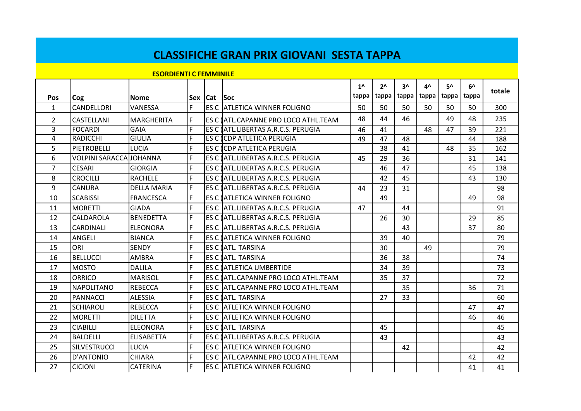|                |                                |                               |    |                 | <b>CLASSIFICHE GRAN PRIX GIOVANI SESTA TAPPA</b> |                       |                         |             |             |             |             |        |
|----------------|--------------------------------|-------------------------------|----|-----------------|--------------------------------------------------|-----------------------|-------------------------|-------------|-------------|-------------|-------------|--------|
|                |                                | <b>ESORDIENTI C FEMMINILE</b> |    |                 |                                                  |                       |                         |             |             |             |             |        |
| <b>Pos</b>     | Cog                            | <b>Nome</b>                   |    | Sex   Cat   Soc |                                                  | $1^{\prime}$<br>tappa | 2 <sub>0</sub><br>tappa | 3۸<br>tappa | 4^<br>tappa | 5۸<br>tappa | 6۸<br>tappa | totale |
| $\mathbf{1}$   | <b>CANDELLORI</b>              | VANESSA                       | F. |                 | <b>ES C ATLETICA WINNER FOLIGNO</b>              | 50                    | 50                      | 50          | 50          | 50          | 50          | 300    |
| $\overline{2}$ | <b>CASTELLANI</b>              | <b>MARGHERITA</b>             | F  |                 | ES C (ATL.CAPANNE PRO LOCO ATHL.TEAM             | 48                    | 44                      | 46          |             | 49          | 48          | 235    |
| $\overline{3}$ | <b>FOCARDI</b>                 | <b>GAIA</b>                   | F  |                 | ES C (ATL.LIBERTAS A.R.C.S. PERUGIA              | 46                    | 41                      |             | 48          | 47          | 39          | 221    |
| 4              | <b>RADICCHI</b>                | <b>GIULIA</b>                 | F  |                 | <b>ES C (CDP ATLETICA PERUGIA)</b>               | 49                    | 47                      | 48          |             |             | 44          | 188    |
| 5              | PIETROBELLI                    | <b>LUCIA</b>                  | F  |                 | <b>ES C COP ATLETICA PERUGIA</b>                 |                       | 38                      | 41          |             | 48          | 35          | 162    |
| 6              | <b>VOLPINI SARACCA JOHANNA</b> |                               | F  |                 | ES C (ATL.LIBERTAS A.R.C.S. PERUGIA              | 45                    | 29                      | 36          |             |             | 31          | 141    |
| $\overline{7}$ | <b>CESARI</b>                  | <b>GIORGIA</b>                | F  |                 | ES C (ATL.LIBERTAS A.R.C.S. PERUGIA              |                       | 46                      | 47          |             |             | 45          | 138    |
| 8              | <b>CROCILLI</b>                | <b>RACHELE</b>                | F  |                 | ES C ATL.LIBERTAS A.R.C.S. PERUGIA               |                       | 42                      | 45          |             |             | 43          | 130    |
| 9              | <b>CANURA</b>                  | <b>DELLA MARIA</b>            | F  |                 | ES C (ATL.LIBERTAS A.R.C.S. PERUGIA              | 44                    | 23                      | 31          |             |             |             | 98     |
| 10             | <b>SCABISSI</b>                | <b>FRANCESCA</b>              | F  |                 | <b>ES C (ATLETICA WINNER FOLIGNO</b>             |                       | 49                      |             |             |             | 49          | 98     |
| 11             | <b>MORETTI</b>                 | <b>GIADA</b>                  | F  |                 | ES C JATL.LIBERTAS A.R.C.S. PERUGIA              | 47                    |                         | 44          |             |             |             | 91     |
| 12             | CALDAROLA                      | <b>BENEDETTA</b>              | F  |                 | ES C (ATL.LIBERTAS A.R.C.S. PERUGIA              |                       | 26                      | 30          |             |             | 29          | 85     |
| 13             | <b>CARDINALI</b>               | <b>ELEONORA</b>               | F  |                 | ES C ATL.LIBERTAS A.R.C.S. PERUGIA               |                       |                         | 43          |             |             | 37          | 80     |
| 14             | ANGELI                         | <b>BIANCA</b>                 | F  |                 | <b>ES C (ATLETICA WINNER FOLIGNO</b>             |                       | 39                      | 40          |             |             |             | 79     |
| 15             | ORI                            | <b>SENDY</b>                  | F  |                 | ES C LATL. TARSINA                               |                       | 30                      |             | 49          |             |             | 79     |
| 16             | <b>BELLUCCI</b>                | <b>AMBRA</b>                  | F. |                 | ES C <b>JATL, TARSINA</b>                        |                       | 36                      | 38          |             |             |             | 74     |
| 17             | <b>MOSTO</b>                   | <b>DALILA</b>                 | F  |                 | <b>ES C (ATLETICA UMBERTIDE</b>                  |                       | 34                      | 39          |             |             |             | 73     |
| 18             | <b>ORRICO</b>                  | <b>MARISOL</b>                | F  |                 | ES C (ATL.CAPANNE PRO LOCO ATHL.TEAM             |                       | 35                      | 37          |             |             |             | 72     |
| 19             | <b>NAPOLITANO</b>              | <b>REBECCA</b>                | F  |                 | ES C ATL.CAPANNE PRO LOCO ATHL.TEAM              |                       |                         | 35          |             |             | 36          | 71     |
| 20             | <b>PANNACCI</b>                | <b>ALESSIA</b>                | F  |                 | <b>ES C (ATL. TARSINA</b>                        |                       | 27                      | 33          |             |             |             | 60     |
| 21             | <b>SCHIAROLI</b>               | <b>REBECCA</b>                | F  |                 | <b>ES C ATLETICA WINNER FOLIGNO</b>              |                       |                         |             |             |             | 47          | 47     |
| 22             | <b>MORETTI</b>                 | <b>DILETTA</b>                | F  |                 | ES C JATLETICA WINNER FOLIGNO                    |                       |                         |             |             |             | 46          | 46     |
| 23             | <b>CIABILLI</b>                | <b>ELEONORA</b>               | F  |                 | <b>ES C (ATL. TARSINA</b>                        |                       | 45                      |             |             |             |             | 45     |
| 24             | <b>BALDELLI</b>                | <b>ELISABETTA</b>             | F  |                 | ES C (ATL.LIBERTAS A.R.C.S. PERUGIA              |                       | 43                      |             |             |             |             | 43     |
| 25             | <b>SILVESTRUCCI</b>            | <b>LUCIA</b>                  | F  |                 | ES C ATLETICA WINNER FOLIGNO                     |                       |                         | 42          |             |             |             | 42     |
| 26             | <b>D'ANTONIO</b>               | <b>CHIARA</b>                 | F  |                 | ES C ATL.CAPANNE PRO LOCO ATHL.TEAM              |                       |                         |             |             |             | 42          | 42     |
| 27             | <b>CICIONI</b>                 | <b>CATERINA</b>               | F  |                 | <b>ES C ATLETICA WINNER FOLIGNO</b>              |                       |                         |             |             |             | 41          | 41     |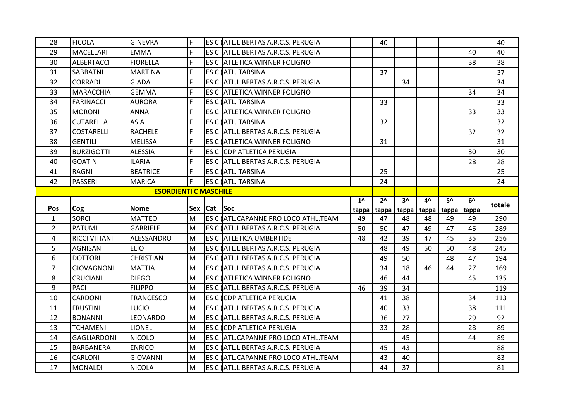| 28             | <b>FICOLA</b>        | <b>GINEVRA</b>               | lF. |             | ES C ATL.LIBERTAS A.R.C.S. PERUGIA   |              | 40           |       |       |       |       | 40     |
|----------------|----------------------|------------------------------|-----|-------------|--------------------------------------|--------------|--------------|-------|-------|-------|-------|--------|
| 29             | <b>MACELLARI</b>     | <b>EMMA</b>                  | F   |             | ES C ATL.LIBERTAS A.R.C.S. PERUGIA   |              |              |       |       |       | 40    | 40     |
| 30             | <b>ALBERTACCI</b>    | <b>FIORELLA</b>              | F   |             | ES C ATLETICA WINNER FOLIGNO         |              |              |       |       |       | 38    | 38     |
| 31             | <b>SABBATNI</b>      | <b>MARTINA</b>               | F   |             | ES C (ATL. TARSINA                   |              | 37           |       |       |       |       | 37     |
| 32             | <b>CORRADI</b>       | <b>GIADA</b>                 | F   |             | ES C ATL.LIBERTAS A.R.C.S. PERUGIA   |              |              | 34    |       |       |       | 34     |
| 33             | <b>MARACCHIA</b>     | <b>GEMMA</b>                 | F   |             | ES C IATLETICA WINNER FOLIGNO        |              |              |       |       |       | 34    | 34     |
| 34             | <b>FARINACCI</b>     | <b>AURORA</b>                | F   |             | ES C (ATL. TARSINA                   |              | 33           |       |       |       |       | 33     |
| 35             | <b>MORONI</b>        | <b>ANNA</b>                  | F   |             | ES C ATLETICA WINNER FOLIGNO         |              |              |       |       |       | 33    | 33     |
| 36             | <b>CUTARELLA</b>     | <b>ASIA</b>                  | F   |             | ES C (ATL. TARSINA                   |              | 32           |       |       |       |       | 32     |
| 37             | <b>COSTARELLI</b>    | <b>RACHELE</b>               | F   |             | ES C ATL.LIBERTAS A.R.C.S. PERUGIA   |              |              |       |       |       | 32    | 32     |
| 38             | <b>GENTILI</b>       | <b>MELISSA</b>               | F   |             | ES C (ATLETICA WINNER FOLIGNO        |              | 31           |       |       |       |       | 31     |
| 39             | <b>BURZIGOTTI</b>    | <b>ALESSIA</b>               | F   |             | ES C ICDP ATLETICA PERUGIA           |              |              |       |       |       | 30    | 30     |
| 40             | <b>GOATIN</b>        | <b>ILARIA</b>                | F   |             | ES C ATL.LIBERTAS A.R.C.S. PERUGIA   |              |              |       |       |       | 28    | 28     |
| 41             | <b>RAGNI</b>         | <b>BEATRICE</b>              | F   |             | ES C (ATL. TARSINA                   |              | 25           |       |       |       |       | 25     |
| 42             | PASSERI              | MARICA                       | F   |             | ES C (ATL. TARSINA                   |              | 24           |       |       |       |       | 24     |
|                |                      | <b>ESORDIENTI C MASCHILE</b> |     |             |                                      |              |              |       |       |       |       |        |
|                |                      |                              |     |             |                                      | $1^{\prime}$ | $2^{\wedge}$ | $3^$  | 4^    | 5۸    | 6^    |        |
|                |                      |                              |     |             |                                      |              |              |       |       |       |       |        |
| <b>Pos</b>     | Cog                  | <b>Nome</b>                  |     | Sex Cat Soc |                                      | tappa        | tappa        | tappa | tappa | tappa | tappa | totale |
| $\mathbf{1}$   | <b>SORCI</b>         | <b>MATTEO</b>                | M   |             | ES C (ATL.CAPANNE PRO LOCO ATHL.TEAM | 49           | 47           | 48    | 48    | 49    | 49    | 290    |
| $\overline{2}$ | PATUMI               | <b>GABRIELE</b>              | M   |             | ES C (ATL.LIBERTAS A.R.C.S. PERUGIA  | 50           | 50           | 47    | 49    | 47    | 46    | 289    |
| 4              | <b>RICCI VITIANI</b> | ALESSANDRO                   | M   |             | <b>ES C ATLETICA UMBERTIDE</b>       | 48           | 42           | 39    | 47    | 45    | 35    | 256    |
| 5              | <b>AGNISAN</b>       | <b>ELIO</b>                  | M   |             | ES C (ATL.LIBERTAS A.R.C.S. PERUGIA  |              | 48           | 49    | 50    | 50    | 48    | 245    |
| 6              | <b>DOTTORI</b>       | <b>CHRISTIAN</b>             | M   |             | ES C (ATL.LIBERTAS A.R.C.S. PERUGIA  |              | 49           | 50    |       | 48    | 47    | 194    |
| $\overline{7}$ | <b>GIOVAGNONI</b>    | <b>MATTIA</b>                | M   |             | ES C (ATL.LIBERTAS A.R.C.S. PERUGIA  |              | 34           | 18    | 46    | 44    | 27    | 169    |
| 8              | <b>CRUCIANI</b>      | <b>DIEGO</b>                 | M   |             | ES C ATLETICA WINNER FOLIGNO         |              | 46           | 44    |       |       | 45    | 135    |
| 9              | <b>PACI</b>          | <b>FILIPPO</b>               | M   |             | ES C (ATL.LIBERTAS A.R.C.S. PERUGIA  | 46           | 39           | 34    |       |       |       | 119    |
| 10             | <b>CARDONI</b>       | <b>FRANCESCO</b>             | M   |             | <b>ES C (CDP ATLETICA PERUGIA</b>    |              | 41           | 38    |       |       | 34    | 113    |
| 11             | <b>FRUSTINI</b>      | lucio                        | M   |             | ES C (ATL.LIBERTAS A.R.C.S. PERUGIA  |              | 40           | 33    |       |       | 38    | 111    |
| 12             | <b>BONANNI</b>       | LEONARDO                     | M   |             | ES C (ATL.LIBERTAS A.R.C.S. PERUGIA  |              | 36           | 27    |       |       | 29    | 92     |
| 13             | <b>TCHAMENI</b>      | LIONEL                       | M   |             | ES C COP ATLETICA PERUGIA            |              | 33           | 28    |       |       | 28    | 89     |
| 14             | <b>GAGLIARDONI</b>   | <b>NICOLO</b>                | M   |             | ES C ATL.CAPANNE PRO LOCO ATHL.TEAM  |              |              | 45    |       |       | 44    | 89     |
| 15             | <b>BARBANERA</b>     | <b>ENRICO</b>                | M   |             | ES C (ATL.LIBERTAS A.R.C.S. PERUGIA  |              | 45           | 43    |       |       |       | 88     |
| 16             | <b>CARLONI</b>       | <b>GIOVANNI</b>              | M   |             | ES C LATL.CAPANNE PRO LOCO ATHL.TEAM |              | 43           | 40    |       |       |       | 83     |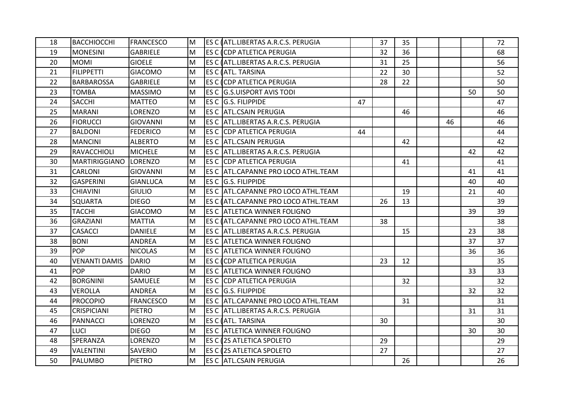| 18 | <b>BACCHIOCCHI</b>   | <b>FRANCESCO</b> | M  | ES C (ATL.LIBERTAS A.R.C.S. PERUGIA   |    | 37 | 35 |    |    | 72 |
|----|----------------------|------------------|----|---------------------------------------|----|----|----|----|----|----|
| 19 | <b>MONESINI</b>      | <b>GABRIELE</b>  | M  | <b>ES C (CDP ATLETICA PERUGIA</b>     |    | 32 | 36 |    |    | 68 |
| 20 | <b>MOMI</b>          | <b>GIOELE</b>    | M  | ES C (ATL.LIBERTAS A.R.C.S. PERUGIA   |    | 31 | 25 |    |    | 56 |
| 21 | <b>FILIPPETTI</b>    | <b>GIACOMO</b>   | M  | <b>ES C (ATL. TARSINA</b>             |    | 22 | 30 |    |    | 52 |
| 22 | <b>BARBAROSSA</b>    | <b>GABRIELE</b>  | M  | <b>ES C COP ATLETICA PERUGIA</b>      |    | 28 | 22 |    |    | 50 |
| 23 | <b>TOMBA</b>         | <b>MASSIMO</b>   | M  | <b>ES C G.S.UISPORT AVIS TODI</b>     |    |    |    |    | 50 | 50 |
| 24 | <b>SACCHI</b>        | <b>MATTEO</b>    | lм | ES C G.S. FILIPPIDE                   | 47 |    |    |    |    | 47 |
| 25 | <b>MARANI</b>        | LORENZO          | M  | <b>ES C ATL.CSAIN PERUGIA</b>         |    |    | 46 |    |    | 46 |
| 26 | <b>FIORUCCI</b>      | <b>GIOVANNI</b>  | lм | ES C  ATL.LIBERTAS A.R.C.S. PERUGIA   |    |    |    | 46 |    | 46 |
| 27 | <b>BALDONI</b>       | <b>FEDERICO</b>  | M  | <b>ES C CDP ATLETICA PERUGIA</b>      | 44 |    |    |    |    | 44 |
| 28 | <b>MANCINI</b>       | <b>ALBERTO</b>   | M  | IES C IATL.CSAIN PERUGIA              |    |    | 42 |    |    | 42 |
| 29 | RAVACCHIOLI          | <b>MICHELE</b>   | M  | ES C ATL.LIBERTAS A.R.C.S. PERUGIA    |    |    |    |    | 42 | 42 |
| 30 | <b>MARTIRIGGIANO</b> | <b>ILORENZO</b>  | M  | <b>ES C CDP ATLETICA PERUGIA</b>      |    |    | 41 |    |    | 41 |
| 31 | <b>CARLONI</b>       | GIOVANNI         | M  | ES C ATL.CAPANNE PRO LOCO ATHL.TEAM   |    |    |    |    | 41 | 41 |
| 32 | <b>GASPERINI</b>     | <b>GIANLUCA</b>  | M  | ES C G.S. FILIPPIDE                   |    |    |    |    | 40 | 40 |
| 33 | <b>CHIAVINI</b>      | <b>GIULIO</b>    | M  | ES C ATL.CAPANNE PRO LOCO ATHL.TEAM   |    |    | 19 |    | 21 | 40 |
| 34 | <b>SQUARTA</b>       | <b>DIEGO</b>     | M  | ES C (ATL.CAPANNE PRO LOCO ATHL.TEAM  |    | 26 | 13 |    |    | 39 |
| 35 | <b>TACCHI</b>        | <b>GIACOMO</b>   | M  | ES C ATLETICA WINNER FOLIGNO          |    |    |    |    | 39 | 39 |
| 36 | <b>GRAZIANI</b>      | <b>MATTIA</b>    | M  | IES C IATL.CAPANNE PRO LOCO ATHL.TEAM |    | 38 |    |    |    | 38 |
| 37 | <b>CASACCI</b>       | <b>DANIELE</b>   | M  | ES C ATL.LIBERTAS A.R.C.S. PERUGIA    |    |    | 15 |    | 23 | 38 |
| 38 | <b>BONI</b>          | <b>ANDREA</b>    | M  | <b>ES C ATLETICA WINNER FOLIGNO</b>   |    |    |    |    | 37 | 37 |
| 39 | <b>POP</b>           | <b>NICOLAS</b>   | M  | ES C JATLETICA WINNER FOLIGNO         |    |    |    |    | 36 | 36 |
| 40 | <b>VENANTI DAMIS</b> | <b>DARIO</b>     | M  | <b>ES C (CDP ATLETICA PERUGIA</b>     |    | 23 | 12 |    |    | 35 |
| 41 | <b>POP</b>           | <b>DARIO</b>     | M  | ES C ATLETICA WINNER FOLIGNO          |    |    |    |    | 33 | 33 |
| 42 | <b>BORGNINI</b>      | SAMUELE          | M  | <b>ES C CDP ATLETICA PERUGIA</b>      |    |    | 32 |    |    | 32 |
| 43 | <b>VEROLLA</b>       | <b>ANDREA</b>    | M  | ES C G.S. FILIPPIDE                   |    |    |    |    | 32 | 32 |
| 44 | <b>PROCOPIO</b>      | <b>FRANCESCO</b> | lм | ES C  ATL.CAPANNE PRO LOCO ATHL.TEAM  |    |    | 31 |    |    | 31 |
| 45 | <b>CRISPICIANI</b>   | <b>PIETRO</b>    | lм | ES C  ATL.LIBERTAS A.R.C.S. PERUGIA   |    |    |    |    | 31 | 31 |
| 46 | <b>PANNACCI</b>      | LORENZO          | M  | <b>ES C (ATL. TARSINA</b>             |    | 30 |    |    |    | 30 |
| 47 | <b>LUCI</b>          | <b>DIEGO</b>     | lм | ES C ATLETICA WINNER FOLIGNO          |    |    |    |    | 30 | 30 |
| 48 | SPERANZA             | LORENZO          | M  | <b>IES C (2S ATLETICA SPOLETO</b>     |    | 29 |    |    |    | 29 |
| 49 | <b>VALENTINI</b>     | SAVERIO          | M  | <b>ES C (2S ATLETICA SPOLETO</b>      |    | 27 |    |    |    | 27 |
| 50 | <b>PALUMBO</b>       | <b>PIETRO</b>    | M  | <b>ES C ATL.CSAIN PERUGIA</b>         |    |    | 26 |    |    | 26 |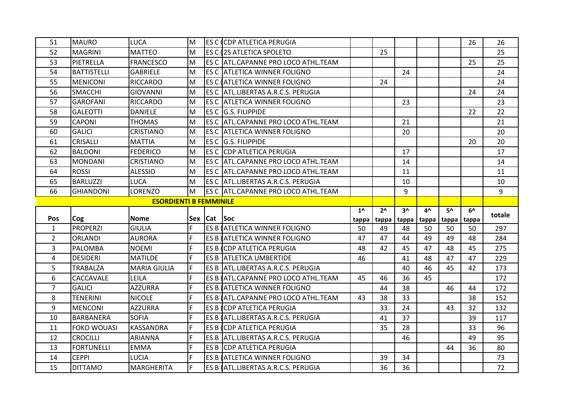| 51             | <b>MAURO</b>       | <b>LUCA</b>                   | M          |         | ES C (CDP ATLETICA PERUGIA           |                |               |       |    |                   | 26 | 26     |
|----------------|--------------------|-------------------------------|------------|---------|--------------------------------------|----------------|---------------|-------|----|-------------------|----|--------|
| 52             | <b>MAGRINI</b>     | <b>MATTEO</b>                 | M          |         | <b>ES C 2S ATLETICA SPOLETO</b>      |                | 25            |       |    |                   |    | 25     |
| 53             | PIETRELLA          | <b>FRANCESCO</b>              | M          |         | ES C ATL.CAPANNE PRO LOCO ATHL.TEAM  |                |               |       |    |                   | 25 | 25     |
| 54             | <b>BATTISTELLI</b> | <b>GABRIELE</b>               | M          |         | ES C ATLETICA WINNER FOLIGNO         |                |               | 24    |    |                   |    | 24     |
| 55             | <b>MENICONI</b>    | <b>RICCARDO</b>               | M          |         | ES C (ATLETICA WINNER FOLIGNO        |                | 24            |       |    |                   |    | 24     |
| 56             | <b>SMACCHI</b>     | <b>GIOVANNI</b>               | M          |         | ES C ATL.LIBERTAS A.R.C.S. PERUGIA   |                |               |       |    |                   | 24 | 24     |
| 57             | <b>GAROFANI</b>    | <b>RICCARDO</b>               | M          |         | <b>ES C ATLETICA WINNER FOLIGNO</b>  |                |               | 23    |    |                   |    | 23     |
| 58             | <b>GALEOTTI</b>    | <b>DANIELE</b>                | M          |         | ES C G.S. FILIPPIDE                  |                |               |       |    |                   | 22 | 22     |
| 59             | <b>CAPONI</b>      | <b>THOMAS</b>                 | M          |         | ES C ATL.CAPANNE PRO LOCO ATHL.TEAM  |                |               | 21    |    |                   |    | 21     |
| 60             | <b>GALICI</b>      | CRISTIANO                     | M          |         | <b>ES C ATLETICA WINNER FOLIGNO</b>  |                |               | 20    |    |                   |    | 20     |
| 61             | <b>CRISALLI</b>    | <b>MATTIA</b>                 | M          |         | ES C G.S. FILIPPIDE                  |                |               |       |    |                   | 20 | 20     |
| 62             | <b>BALDONI</b>     | <b>FEDERICO</b>               | M          |         | ES C ICDP ATLETICA PERUGIA           |                |               | 17    |    |                   |    | 17     |
| 63             | <b>MONDANI</b>     | <b>CRISTIANO</b>              | M          |         | ES C ATL.CAPANNE PRO LOCO ATHL.TEAM  |                |               | 14    |    |                   |    | 14     |
| 64             | <b>ROSSI</b>       | <b>ALESSIO</b>                | M          |         | ES C IATL.CAPANNE PRO LOCO ATHL.TEAM |                |               | 11    |    |                   |    | 11     |
| 65             | <b>BARLUZZI</b>    | LUCA                          | M          |         | ES C ATL.LIBERTAS A.R.C.S. PERUGIA   |                |               | 10    |    |                   |    | 10     |
| 66             | <b>GHIANDONI</b>   | LORENZO                       | M          |         | ES C ATL.CAPANNE PRO LOCO ATHL.TEAM  |                |               | 9     |    |                   |    | 9      |
|                |                    | <b>ESORDIENTI B FEMMINILE</b> |            |         |                                      |                |               |       |    |                   |    |        |
|                |                    |                               |            |         |                                      |                |               |       |    |                   |    |        |
|                |                    |                               |            |         |                                      | 1 <sub>0</sub> | $2^{\Lambda}$ | 3۸    | 4^ | 5^                | 6^ |        |
| <b>Pos</b>     | Cog                | <b>Nome</b>                   | <b>Sex</b> | Cat Soc |                                      | tappa          | tappa         | tappa |    | tappa tappa tappa |    | totale |
| $\mathbf{1}$   | <b>PROPERZI</b>    | <b>GIULIA</b>                 | F          |         | ES B ATLETICA WINNER FOLIGNO         | 50             | 49            | 48    | 50 | 50                | 50 | 297    |
| $\overline{2}$ | <b>ORLANDI</b>     | <b>AURORA</b>                 | F          |         | ES B ATLETICA WINNER FOLIGNO         | 47             | 47            | 44    | 49 | 49                | 48 | 284    |
| 3              | <b>PALOMBA</b>     | <b>NOEMI</b>                  | F          |         | ES B CDP ATLETICA PERUGIA            | 48             | 42            | 45    | 47 | 48                | 45 | 275    |
| 4              | <b>DESIDERI</b>    | <b>MATILDE</b>                | F          |         | ES B ATLETICA UMBERTIDE              | 46             |               | 41    | 48 | 47                | 47 | 229    |
| 5              | <b>TRABALZA</b>    | <b>MARIA GIULIA</b>           | F          |         | ES B ATL.LIBERTAS A.R.C.S. PERUGIA   |                |               | 40    | 46 | 45                | 42 | 173    |
| 6              | CACCAVALE          | LEILA                         | F          |         | ES B (ATL.CAPANNE PRO LOCO ATHL.TEAM | 45             | 46            | 36    | 45 |                   |    | 172    |
| $\overline{7}$ | <b>GALICI</b>      | <b>AZZURRA</b>                | F          |         | ES B ATLETICA WINNER FOLIGNO         |                | 44            | 38    |    | 46                | 44 | 172    |
| 8              | <b>TENERINI</b>    | <b>NICOLE</b>                 | F          |         | ES B (ATL.CAPANNE PRO LOCO ATHL.TEAM | 43             | 38            | 33    |    |                   | 38 | 152    |
| 9              | <b>MENCONI</b>     | <b>AZZURRA</b>                | F          |         | ES B CDP ATLETICA PERUGIA            |                | 33            | 24    |    | 43                | 32 | 132    |
| 10             | <b>BARBANERA</b>   | <b>SOFIA</b>                  | F          |         | ES B ATL.LIBERTAS A.R.C.S. PERUGIA   |                | 41            | 37    |    |                   | 39 | 117    |
| 11             | <b>FOKO WOUASI</b> | <b>KASSANDRA</b>              | F          |         | ES B CDP ATLETICA PERUGIA            |                | 35            | 28    |    |                   | 33 | 96     |
| 12             | <b>CROCILLI</b>    | <b>ARIANNA</b>                | F          |         | ES B ATL.LIBERTAS A.R.C.S. PERUGIA   |                |               | 46    |    |                   | 49 | 95     |
| 13             | <b>FORTUNELLI</b>  | <b>EMMA</b>                   | F          |         | ES B CDP ATLETICA PERUGIA            |                |               |       |    | 44                | 36 | 80     |
| 14             | <b>CEPPI</b>       | <b>LUCIA</b>                  | F          |         | ES B ATLETICA WINNER FOLIGNO         |                | 39            | 34    |    |                   |    | 73     |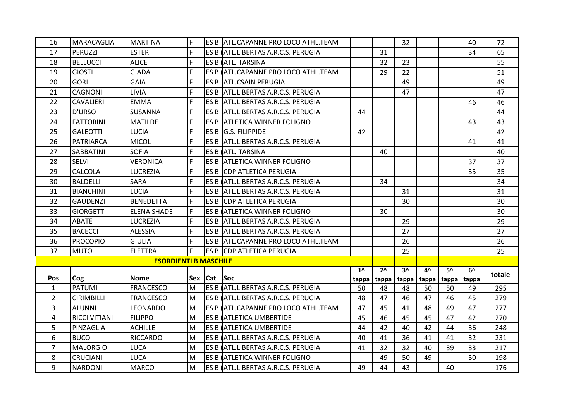| 16             | <b>MARACAGLIA</b>    | <b>MARTINA</b>               | E   |               | ES B ATL.CAPANNE PRO LOCO ATHL.TEAM  |              |                | 32           |       |              | 40    | 72     |
|----------------|----------------------|------------------------------|-----|---------------|--------------------------------------|--------------|----------------|--------------|-------|--------------|-------|--------|
| 17             | PERUZZI              | <b>ESTER</b>                 | F   |               | ES B ATL.LIBERTAS A.R.C.S. PERUGIA   |              | 31             |              |       |              | 34    | 65     |
| 18             | <b>BELLUCCI</b>      | <b>ALICE</b>                 | F   |               | ES B (ATL. TARSINA                   |              | 32             | 23           |       |              |       | 55     |
| 19             | <b>GIOSTI</b>        | <b>GIADA</b>                 | F   |               | ES B (ATL.CAPANNE PRO LOCO ATHL.TEAM |              | 29             | 22           |       |              |       | 51     |
| 20             | <b>GORI</b>          | <b>GAIA</b>                  | F   |               | ES B ATL.CSAIN PERUGIA               |              |                | 49           |       |              |       | 49     |
| 21             | <b>CAGNONI</b>       | <b>LIVIA</b>                 | F   |               | ES B ATL.LIBERTAS A.R.C.S. PERUGIA   |              |                | 47           |       |              |       | 47     |
| 22             | <b>CAVALIERI</b>     | <b>EMMA</b>                  | F   |               | ES B ATL.LIBERTAS A.R.C.S. PERUGIA   |              |                |              |       |              | 46    | 46     |
| 23             | D'URSO               | <b>SUSANNA</b>               | F   |               | ES B ATL.LIBERTAS A.R.C.S. PERUGIA   | 44           |                |              |       |              |       | 44     |
| 24             | <b>FATTORINI</b>     | <b>MATILDE</b>               | F   |               | <b>ES B ATLETICA WINNER FOLIGNO</b>  |              |                |              |       |              | 43    | 43     |
| 25             | <b>GALEOTTI</b>      | <b>LUCIA</b>                 | F   |               | ES B G.S. FILIPPIDE                  | 42           |                |              |       |              |       | 42     |
| 26             | <b>PATRIARCA</b>     | <b>MICOL</b>                 | F   |               | ES B ATL.LIBERTAS A.R.C.S. PERUGIA   |              |                |              |       |              | 41    | 41     |
| 27             | <b>SABBATINI</b>     | <b>SOFIA</b>                 | F   |               | ES B (ATL. TARSINA                   |              | 40             |              |       |              |       | 40     |
| 28             | <b>SELVI</b>         | <b>VERONICA</b>              | F   |               | ES B ATLETICA WINNER FOLIGNO         |              |                |              |       |              | 37    | 37     |
| 29             | <b>CALCOLA</b>       | <b>LUCREZIA</b>              | F   |               | ES B CDP ATLETICA PERUGIA            |              |                |              |       |              | 35    | 35     |
| 30             | BALDELLI             | <b>SARA</b>                  | F   |               | ES B ATL.LIBERTAS A.R.C.S. PERUGIA   |              | 34             |              |       |              |       | 34     |
| 31             | <b>BIANCHINI</b>     | <b>LUCIA</b>                 | F   |               | ES B ATL.LIBERTAS A.R.C.S. PERUGIA   |              |                | 31           |       |              |       | 31     |
| 32             | <b>GAUDENZI</b>      | <b>BENEDETTA</b>             | F   |               | ES B CDP ATLETICA PERUGIA            |              |                | 30           |       |              |       | 30     |
| 33             | <b>GIORGETTI</b>     | <b>ELENA SHADE</b>           | I۴  |               | ES B ATLETICA WINNER FOLIGNO         |              | 30             |              |       |              |       | 30     |
| 34             | <b>ABATE</b>         | <b>LUCREZIA</b>              | F   |               | ES B ATL.LIBERTAS A.R.C.S. PERUGIA   |              |                | 29           |       |              |       | 29     |
| 35             | <b>BACECCI</b>       | <b>ALESSIA</b>               | F   |               | ES B ATL.LIBERTAS A.R.C.S. PERUGIA   |              |                | 27           |       |              |       | 27     |
| 36             | <b>PROCOPIO</b>      | <b>GIULIA</b>                | F   |               | ES B ATL.CAPANNE PRO LOCO ATHL.TEAM  |              |                | 26           |       |              |       | 26     |
| 37             | <b>MUTO</b>          | <b>ELETTRA</b>               | lF. |               | ES B CDP ATLETICA PERUGIA            |              |                | 25           |       |              |       | 25     |
|                |                      | <b>ESORDIENTI B MASCHILE</b> |     |               |                                      |              |                |              |       |              |       |        |
|                |                      |                              |     |               |                                      | $1^{\wedge}$ | 2 <sub>0</sub> | $3^{\prime}$ | 4^    | $5^{\prime}$ | 6^    | totale |
| <b>Pos</b>     | Cog                  | <b>Nome</b>                  |     | Sex  Cat  Soc |                                      | tappa        | tappa          | tappa        | tappa | tappa        | tappa |        |
| $\mathbf{1}$   | PATUMI               | <b>FRANCESCO</b>             | lм  |               | ES B ATL.LIBERTAS A.R.C.S. PERUGIA   | 50           | 48             | 48           | 50    | 50           | 49    | 295    |
| $\overline{2}$ | <b>CIRIMBILLI</b>    | <b>FRANCESCO</b>             | lм  |               | ES B (ATL.LIBERTAS A.R.C.S. PERUGIA  | 48           | 47             | 46           | 47    | 46           | 45    | 279    |
| 3              | ALUNNI               | LEONARDO                     | lм  |               | ES B (ATL.CAPANNE PRO LOCO ATHL.TEAM | 47           | 45             | 41           | 48    | 49           | 47    | 277    |
| 4              | <b>RICCI VITIANI</b> | <b>FILIPPO</b>               | lм  |               | ES B ATLETICA UMBERTIDE              | 45           | 46             | 45           | 45    | 47           | 42    | 270    |
| 5              | PINZAGLIA            | <b>ACHILLE</b>               | lм  |               | ES B ATLETICA UMBERTIDE              | 44           | 42             | 40           | 42    | 44           | 36    | 248    |
| 6              | <b>BUCO</b>          | <b>RICCARDO</b>              | lм  |               | ES B ATL.LIBERTAS A.R.C.S. PERUGIA   | 40           | 41             | 36           | 41    | 41           | 32    | 231    |
| $\overline{7}$ | <b>MALORGIO</b>      | <b>LUCA</b>                  | lм  |               | ES B ATL.LIBERTAS A.R.C.S. PERUGIA   | 41           | 32             | 32           | 40    | 39           | 33    | 217    |
| 8              | <b>CRUCIANI</b>      | <b>LUCA</b>                  | lм  |               | <b>ES B (ATLETICA WINNER FOLIGNO</b> |              | 49             | 50           | 49    |              | 50    | 198    |
| 9              | <b>NARDONI</b>       | <b>MARCO</b>                 | lм  |               | ES B (ATL.LIBERTAS A.R.C.S. PERUGIA  | 49           | 44             | 43           |       | 40           |       | 176    |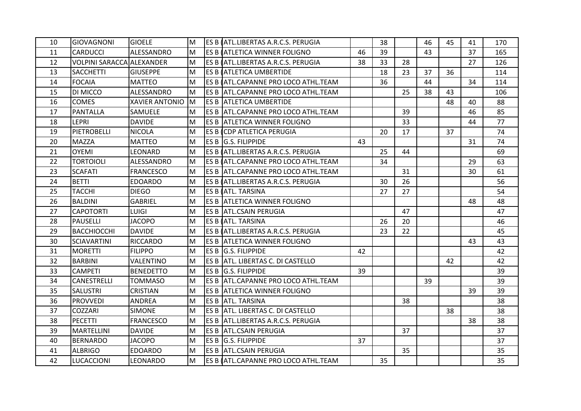| 10 | <b>GIOVAGNONI</b>         | <b>GIOELE</b>         | lм | ES B (ATL.LIBERTAS A.R.C.S. PERUGIA   |    | 38 |    | 46 | 45 | 41 | 170 |
|----|---------------------------|-----------------------|----|---------------------------------------|----|----|----|----|----|----|-----|
| 11 | <b>CARDUCCI</b>           | ALESSANDRO            | lм | <b>ES B (ATLETICA WINNER FOLIGNO</b>  | 46 | 39 |    | 43 |    | 37 | 165 |
| 12 | VOLPINI SARACCA ALEXANDER |                       | lм | IES B (ATL.LIBERTAS A.R.C.S. PERUGIA  | 38 | 33 | 28 |    |    | 27 | 126 |
| 13 | <b>SACCHETTI</b>          | <b>GIUSEPPE</b>       | lм | <b>ES B (ATLETICA UMBERTIDE</b>       |    | 18 | 23 | 37 | 36 |    | 114 |
| 14 | <b>FOCAIA</b>             | <b>MATTEO</b>         | lм | ES B (ATL.CAPANNE PRO LOCO ATHL.TEAM  |    | 36 |    | 44 |    | 34 | 114 |
| 15 | DI MICCO                  | ALESSANDRO            | lм | ES B  ATL.CAPANNE PRO LOCO ATHL.TEAM  |    |    | 25 | 38 | 43 |    | 106 |
| 16 | <b>COMES</b>              | <b>XAVIER ANTONIO</b> | Iм | ES B  ATLETICA UMBERTIDE              |    |    |    |    | 48 | 40 | 88  |
| 17 | <b>PANTALLA</b>           | SAMUELE               | lм | ES B ATL.CAPANNE PRO LOCO ATHL.TEAM   |    |    | 39 |    |    | 46 | 85  |
| 18 | LEPRI                     | <b>DAVIDE</b>         | lм | <b>ES B ATLETICA WINNER FOLIGNO</b>   |    |    | 33 |    |    | 44 | 77  |
| 19 | PIETROBELLI               | <b>NICOLA</b>         | M  | ES B (CDP ATLETICA PERUGIA            |    | 20 | 17 |    | 37 |    | 74  |
| 20 | <b>MAZZA</b>              | <b>MATTEO</b>         | lм | ES B G.S. FILIPPIDE                   | 43 |    |    |    |    | 31 | 74  |
| 21 | <b>OYEMI</b>              | LEONARD               | M  | ES B (ATL.LIBERTAS A.R.C.S. PERUGIA   |    | 25 | 44 |    |    |    | 69  |
| 22 | <b>TORTOIOLI</b>          | ALESSANDRO            | lм | IES B (ATL.CAPANNE PRO LOCO ATHL.TEAM |    | 34 |    |    |    | 29 | 63  |
| 23 | <b>SCAFATI</b>            | <b>FRANCESCO</b>      | lм | ES B  ATL.CAPANNE PRO LOCO ATHL.TEAM  |    |    | 31 |    |    | 30 | 61  |
| 24 | <b>BETTI</b>              | <b>EDOARDO</b>        | lм | ES B (ATL.LIBERTAS A.R.C.S. PERUGIA   |    | 30 | 26 |    |    |    | 56  |
| 25 | <b>TACCHI</b>             | <b>DIEGO</b>          | M  | ES B LATL. TARSINA                    |    | 27 | 27 |    |    |    | 54  |
| 26 | <b>BALDINI</b>            | <b>GABRIEL</b>        | lм | <b>ES B ATLETICA WINNER FOLIGNO</b>   |    |    |    |    |    | 48 | 48  |
| 27 | <b>CAPOTORTI</b>          | <b>LUIGI</b>          | M  | IES B IATL.CSAIN PERUGIA              |    |    | 47 |    |    |    | 47  |
| 28 | <b>PAUSELLI</b>           | <b>JACOPO</b>         | lм | ES B (ATL. TARSINA                    |    | 26 | 20 |    |    |    | 46  |
| 29 | <b>BACCHIOCCHI</b>        | <b>DAVIDE</b>         | lм | ES B (ATL.LIBERTAS A.R.C.S. PERUGIA   |    | 23 | 22 |    |    |    | 45  |
| 30 | <b>SCIAVARTINI</b>        | <b>RICCARDO</b>       | lм | <b>ES B ATLETICA WINNER FOLIGNO</b>   |    |    |    |    |    | 43 | 43  |
| 31 | <b>MORETTI</b>            | <b>FILIPPO</b>        | lм | ES B G.S. FILIPPIDE                   | 42 |    |    |    |    |    | 42  |
| 32 | <b>BARBINI</b>            | VALENTINO             | lм | ES B  ATL. LIBERTAS C. DI CASTELLO    |    |    |    |    | 42 |    | 42  |
| 33 | <b>CAMPETI</b>            | <b>BENEDETTO</b>      | lм | ES B G.S. FILIPPIDE                   | 39 |    |    |    |    |    | 39  |
| 34 | CANESTRELLI               | <b>TOMMASO</b>        | lм | ES B ATL.CAPANNE PRO LOCO ATHL.TEAM   |    |    |    | 39 |    |    | 39  |
| 35 | <b>SALUSTRI</b>           | <b>CRISTIAN</b>       | lм | <b>ES B ATLETICA WINNER FOLIGNO</b>   |    |    |    |    |    | 39 | 39  |
| 36 | <b>PROVVEDI</b>           | <b>ANDREA</b>         | lм | ES B ATL. TARSINA                     |    |    | 38 |    |    |    | 38  |
| 37 | COZZARI                   | <b>SIMONE</b>         | lм | ES B  ATL. LIBERTAS C. DI CASTELLO    |    |    |    |    | 38 |    | 38  |
| 38 | PECETTI                   | <b>FRANCESCO</b>      | lм | ES B ATL.LIBERTAS A.R.C.S. PERUGIA    |    |    |    |    |    | 38 | 38  |
| 39 | <b>MARTELLINI</b>         | <b>DAVIDE</b>         | lм | <b>ES B ATL.CSAIN PERUGIA</b>         |    |    | 37 |    |    |    | 37  |
| 40 | <b>BERNARDO</b>           | <b>JACOPO</b>         | lм | ES B G.S. FILIPPIDE                   | 37 |    |    |    |    |    | 37  |
| 41 | <b>ALBRIGO</b>            | <b>EDOARDO</b>        | M  | <b>ES B ATL.CSAIN PERUGIA</b>         |    |    | 35 |    |    |    | 35  |
| 42 | <b>LUCACCIONI</b>         | <b>LEONARDO</b>       | M  | ES B (ATL.CAPANNE PRO LOCO ATHL.TEAM  |    | 35 |    |    |    |    | 35  |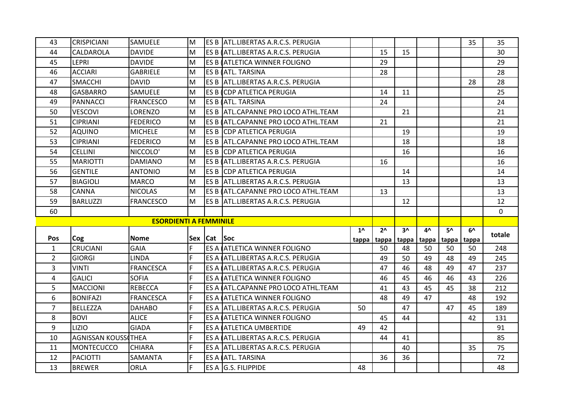| 43             | <b>CRISPICIANI</b>               | <b>SAMUELE</b>                | M  |             | ES B ATL.LIBERTAS A.R.C.S. PERUGIA              |      |              |    |             |       | 35    | 35             |
|----------------|----------------------------------|-------------------------------|----|-------------|-------------------------------------------------|------|--------------|----|-------------|-------|-------|----------------|
| 44             | CALDAROLA                        | <b>DAVIDE</b>                 | M  |             | IES B (ATL.LIBERTAS A.R.C.S. PERUGIA            |      | 15           | 15 |             |       |       | 30             |
| 45             | <b>LEPRI</b>                     | <b>DAVIDE</b>                 | M  |             | <b>ES B (ATLETICA WINNER FOLIGNO</b>            |      | 29           |    |             |       |       | 29             |
| 46             | <b>ACCIARI</b>                   | <b>GABRIELE</b>               | M  |             | <b>ES B (ATL. TARSINA</b>                       |      | 28           |    |             |       |       | 28             |
| 47             | <b>SMACCHI</b>                   | <b>DAVID</b>                  | lм |             | ES B ATL.LIBERTAS A.R.C.S. PERUGIA              |      |              |    |             |       | 28    | 28             |
| 48             | <b>GASBARRO</b>                  | SAMUELE                       | M  |             | ES B CDP ATLETICA PERUGIA                       |      | 14           | 11 |             |       |       | 25             |
| 49             | <b>PANNACCI</b>                  | <b>FRANCESCO</b>              | lм |             | ES B (ATL. TARSINA                              |      | 24           |    |             |       |       | 24             |
| 50             | <b>VESCOVI</b>                   | LORENZO                       | lм |             | ES B ATL.CAPANNE PRO LOCO ATHL.TEAM             |      |              | 21 |             |       |       | 21             |
| 51             | <b>CIPRIANI</b>                  | <b>FEDERICO</b>               | M  |             | ES B (ATL.CAPANNE PRO LOCO ATHL.TEAM            |      | 21           |    |             |       |       | 21             |
| 52             | <b>AQUINO</b>                    | <b>MICHELE</b>                | lм |             | <b>ES B CDP ATLETICA PERUGIA</b>                |      |              | 19 |             |       |       | 19             |
| 53             | <b>CIPRIANI</b>                  | <b>FEDERICO</b>               | lм |             | ES B  ATL.CAPANNE PRO LOCO ATHL.TEAM            |      |              | 18 |             |       |       | 18             |
| 54             | <b>CELLINI</b>                   | NICCOLO'                      | lм |             | <b>ES B CDP ATLETICA PERUGIA</b>                |      |              | 16 |             |       |       | 16             |
| 55             | <b>MARIOTTI</b>                  | <b>DAMIANO</b>                | M  |             | ES B (ATL.LIBERTAS A.R.C.S. PERUGIA             |      | 16           |    |             |       |       | 16             |
| 56             | <b>GENTILE</b>                   | <b>ANTONIO</b>                | M  |             | <b>IES B ICDP ATLETICA PERUGIA</b>              |      |              | 14 |             |       |       | 14             |
| 57             | <b>BIAGIOLI</b>                  | MARCO                         | M  |             | ES B ATL.LIBERTAS A.R.C.S. PERUGIA              |      |              | 13 |             |       |       | 13             |
| 58             | <b>CANNA</b>                     | <b>NICOLAS</b>                | M  |             | ES B (ATL.CAPANNE PRO LOCO ATHL.TEAM            |      | 13           |    |             |       |       | 13             |
| 59             | <b>BARLUZZI</b>                  | <b>FRANCESCO</b>              | M  |             | ES B ATL.LIBERTAS A.R.C.S. PERUGIA              |      |              | 12 |             |       |       | 12             |
|                |                                  |                               |    |             |                                                 |      |              |    |             |       |       |                |
| 60             |                                  |                               |    |             |                                                 |      |              |    |             |       |       | $\overline{0}$ |
|                |                                  | <b>ESORDIENTI A FEMMINILE</b> |    |             |                                                 |      |              |    |             |       |       |                |
|                |                                  |                               |    |             |                                                 | $1^$ | $2^{\wedge}$ | 3۸ | 4^          | 5۸    | 6^    | totale         |
| <b>Pos</b>     | Cog                              | <b>Nome</b>                   |    | Sex Cat Soc |                                                 |      | tappa tappa  |    | tappa tappa | tappa | tappa |                |
| $\mathbf{1}$   | <b>CRUCIANI</b>                  | <b>GAIA</b>                   | F  |             | <b>ES A LATLETICA WINNER FOLIGNO</b>            |      | 50           | 48 | 50          | 50    | 50    | 248            |
| $\overline{2}$ | <b>GIORGI</b>                    | <b>LINDA</b>                  | F  |             | ES A ATL.LIBERTAS A.R.C.S. PERUGIA              |      | 49           | 50 | 49          | 48    | 49    | 245            |
| 3              | <b>VINTI</b>                     | <b>FRANCESCA</b>              | F  |             | ES A ATL.LIBERTAS A.R.C.S. PERUGIA              |      | 47           | 46 | 48          | 49    | 47    | 237            |
| 4              | <b>GALICI</b>                    | <b>SOFIA</b>                  | F  |             | ES A ATLETICA WINNER FOLIGNO                    |      | 46           | 45 | 46          | 46    | 43    | 226            |
| 5              | <b>MACCIONI</b>                  | <b>REBECCA</b>                | F  |             | ES A LATL.CAPANNE PRO LOCO ATHL.TEAM            |      | 41           | 43 | 45          | 45    | 38    | 212            |
| 6              | <b>BONIFAZI</b>                  | <b>FRANCESCA</b>              | F  |             | ES A ATLETICA WINNER FOLIGNO                    |      | 48           | 49 | 47          |       | 48    | 192            |
| $\overline{7}$ | <b>BELLEZZA</b>                  | <b>DAHABO</b>                 | F  |             | ES A ATL.LIBERTAS A.R.C.S. PERUGIA              | 50   |              | 47 |             | 47    | 45    | 189            |
| 8              | <b>BOVI</b>                      | <b>ALICE</b>                  | F  |             | ES A ATLETICA WINNER FOLIGNO                    |      | 45           | 44 |             |       | 42    | 131            |
| 9              | <b>LIZIO</b>                     | <b>GIADA</b>                  | F  |             | ES A ATLETICA UMBERTIDE                         | 49   | 42           |    |             |       |       | 91             |
| 10             | <b>AGNISSAN KOUSS THEA</b>       |                               | F  |             | ES A ATL.LIBERTAS A.R.C.S. PERUGIA              |      | 44           | 41 |             |       |       | 85             |
| 11             | <b>MONTECUCCO</b>                | <b>CHIARA</b>                 | F  |             | ES A ATL.LIBERTAS A.R.C.S. PERUGIA              |      |              | 40 |             |       | 35    | 75             |
| 12<br>13       | <b>PACIOTTI</b><br><b>BREWER</b> | SAMANTA<br><b>ORLA</b>        | F  |             | ES A <b>ATL. TARSINA</b><br>ES A G.S. FILIPPIDE | 48   | 36           | 36 |             |       |       | 72<br>48       |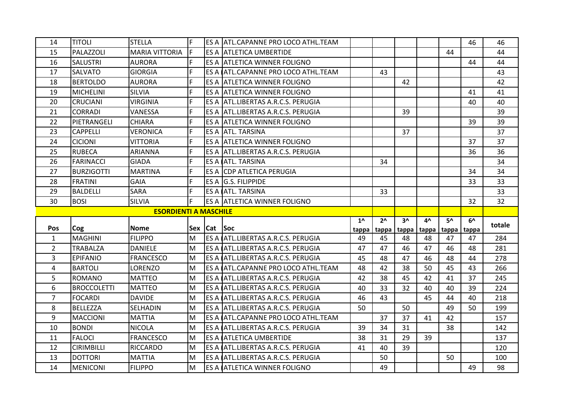| 14             | ITITOLI            | <b>STELLA</b>                | F   |             | ES A JATL.CAPANNE PRO LOCO ATHL.TEAM        |       |                |       |       |       | 46    | 46     |
|----------------|--------------------|------------------------------|-----|-------------|---------------------------------------------|-------|----------------|-------|-------|-------|-------|--------|
| 15             | PALAZZOLI          | <b>MARIA VITTORIA</b>        | IF. |             | ES A JATLETICA UMBERTIDE                    |       |                |       |       | 44    |       | 44     |
| 16             | <b>SALUSTRI</b>    | <b>AURORA</b>                | F   |             | ES A ATLETICA WINNER FOLIGNO                |       |                |       |       |       | 44    | 44     |
| 17             | <b>SALVATO</b>     | <b>GIORGIA</b>               | F   |             | ES A (ATL.CAPANNE PRO LOCO ATHL.TEAM        |       | 43             |       |       |       |       | 43     |
| 18             | <b>BERTOLDO</b>    | <b>AURORA</b>                | F   |             | ES A ATLETICA WINNER FOLIGNO                |       |                | 42    |       |       |       | 42     |
| 19             | <b>MICHELINI</b>   | <b>SILVIA</b>                | F   |             | ES A ATLETICA WINNER FOLIGNO                |       |                |       |       |       | 41    | 41     |
| 20             | <b>CRUCIANI</b>    | <b>VIRGINIA</b>              | F   |             | ES A ATL.LIBERTAS A.R.C.S. PERUGIA          |       |                |       |       |       | 40    | 40     |
| 21             | <b>CORRADI</b>     | VANESSA                      | F   |             | ES A ATL.LIBERTAS A.R.C.S. PERUGIA          |       |                | 39    |       |       |       | 39     |
| 22             | PIETRANGELI        | <b>CHIARA</b>                | F   |             | ES A ATLETICA WINNER FOLIGNO                |       |                |       |       |       | 39    | 39     |
| 23             | <b>CAPPELLI</b>    | <b>VERONICA</b>              | F   |             | ES A ATL. TARSINA                           |       |                | 37    |       |       |       | 37     |
| 24             | <b>CICIONI</b>     | <b>VITTORIA</b>              | F   |             | ES A LATLETICA WINNER FOLIGNO               |       |                |       |       |       | 37    | 37     |
| 25             | <b>RUBECA</b>      | <b>ARIANNA</b>               | F   |             | ES A ATL.LIBERTAS A.R.C.S. PERUGIA          |       |                |       |       |       | 36    | 36     |
| 26             | <b>FARINACCI</b>   | <b>GIADA</b>                 | F   |             | ES A <b>ATL. TARSINA</b>                    |       | 34             |       |       |       |       | 34     |
| 27             | <b>BURZIGOTTI</b>  | <b>MARTINA</b>               | F   |             | ES A CDP ATLETICA PERUGIA                   |       |                |       |       |       | 34    | 34     |
| 28             | <b>FRATINI</b>     | <b>GAIA</b>                  | F   |             | ES A G.S. FILIPPIDE                         |       |                |       |       |       | 33    | 33     |
| 29             | <b>BALDELLI</b>    | <b>SARA</b>                  | F   |             | ES A ATL. TARSINA                           |       | 33             |       |       |       |       | 33     |
| 30             | <b>BOSI</b>        | <b>SILVIA</b>                | F   |             | ES A ATLETICA WINNER FOLIGNO                |       |                |       |       |       | 32    | 32     |
|                |                    |                              |     |             |                                             |       |                |       |       |       |       |        |
|                |                    | <b>ESORDIENTI A MASCHILE</b> |     |             |                                             |       |                |       |       |       |       |        |
|                |                    |                              |     |             |                                             | $1^$  | 2 <sub>0</sub> | $3^$  | 4^    | 5۸    | 6^    | totale |
| Pos            | Cog                | <b>Nome</b>                  |     | Sex Cat Soc |                                             | tappa | tappa          | tappa | tappa | tappa | tappa |        |
| $\mathbf{1}$   | <b>MAGHINI</b>     | <b>FILIPPO</b>               | M   |             | ES A ATL.LIBERTAS A.R.C.S. PERUGIA          | 49    | 45             | 48    | 48    | 47    | 47    | 284    |
| $\overline{2}$ | <b>TRABALZA</b>    | <b>DANIELE</b>               | M   |             | ES A (ATL.LIBERTAS A.R.C.S. PERUGIA         | 47    | 47             | 46    | 47    | 46    | 48    | 281    |
| $\overline{3}$ | <b>EPIFANIO</b>    | <b>FRANCESCO</b>             | M   |             | ES A ATL.LIBERTAS A.R.C.S. PERUGIA          | 45    | 48             | 47    | 46    | 48    | 44    | 278    |
| 4              | <b>BARTOLI</b>     | LORENZO                      | M   |             | ES A <i>(ATL.CAPANNE PRO LOCO ATHL.TEAM</i> | 48    | 42             | 38    | 50    | 45    | 43    | 266    |
| 5              | <b>ROMANO</b>      | <b>MATTEO</b>                | M   |             | ES A ATL.LIBERTAS A.R.C.S. PERUGIA          | 42    | 38             | 45    | 42    | 41    | 37    | 245    |
| 6              | <b>BROCCOLETTI</b> | <b>MATTEO</b>                | M   |             | IES A IATL.LIBERTAS A.R.C.S. PERUGIA        | 40    | 33             | 32    | 40    | 40    | 39    | 224    |
| $\overline{7}$ | <b>FOCARDI</b>     | <b>DAVIDE</b>                | lм  |             | ES A (ATL.LIBERTAS A.R.C.S. PERUGIA         | 46    | 43             |       | 45    | 44    | 40    | 218    |
| 8              | <b>BELLEZZA</b>    | SELHADIN                     | M   |             | ES A ATL.LIBERTAS A.R.C.S. PERUGIA          | 50    |                | 50    |       | 49    | 50    | 199    |
| 9              | <b>MACCIONI</b>    | <b>MATTIA</b>                | M   |             | ES A (ATL.CAPANNE PRO LOCO ATHL.TEAM        |       | 37             | 37    | 41    | 42    |       | 157    |
| 10             | <b>BONDI</b>       | <b>NICOLA</b>                | M   |             | ES A ATL.LIBERTAS A.R.C.S. PERUGIA          | 39    | 34             | 31    |       | 38    |       | 142    |
| 11             | <b>FALOCI</b>      | <b>FRANCESCO</b>             | lм  |             | <b>ES A ATLETICA UMBERTIDE</b>              | 38    | 31             | 29    | 39    |       |       | 137    |
| 12             | <b>CIRIMBILLI</b>  | <b>RICCARDO</b>              | lм  |             | ES A <b>ATL.LIBERTAS A.R.C.S. PERUGIA</b>   | 41    | 40             | 39    |       |       |       | 120    |
| 13             | <b>DOTTORI</b>     | <b>MATTIA</b>                | M   |             | ES A ATL.LIBERTAS A.R.C.S. PERUGIA          |       | 50             |       |       | 50    |       | 100    |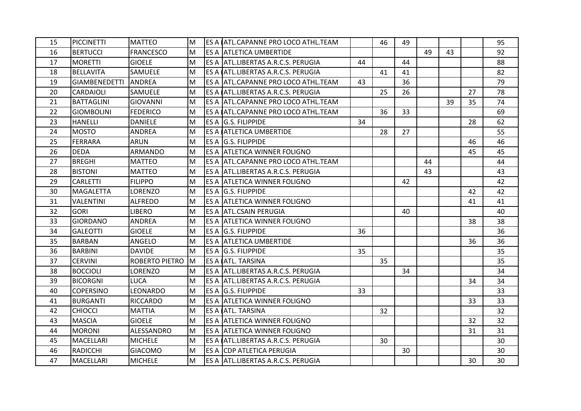| 15 | <b>PICCINETTI</b>    | <b>MATTEO</b>    | M  | ES A ATL.CAPANNE PRO LOCO ATHL.TEAM  |    | 46 | 49 |    |    |    | 95 |
|----|----------------------|------------------|----|--------------------------------------|----|----|----|----|----|----|----|
| 16 | <b>BERTUCCI</b>      | <b>FRANCESCO</b> | M  | ES A ATLETICA UMBERTIDE              |    |    |    | 49 | 43 |    | 92 |
| 17 | <b>MORETTI</b>       | <b>GIOELE</b>    | M  | ES A JATL.LIBERTAS A.R.C.S. PERUGIA  | 44 |    | 44 |    |    |    | 88 |
| 18 | <b>BELLAVITA</b>     | SAMUELE          | M  | ES A ATL.LIBERTAS A.R.C.S. PERUGIA   |    | 41 | 41 |    |    |    | 82 |
| 19 | <b>GIAMBENEDETTI</b> | ANDREA           | M  | ES A ATL.CAPANNE PRO LOCO ATHL.TEAM  | 43 |    | 36 |    |    |    | 79 |
| 20 | <b>CARDAIOLI</b>     | <b>SAMUELE</b>   | M  | ES A ATL.LIBERTAS A.R.C.S. PERUGIA   |    | 25 | 26 |    |    | 27 | 78 |
| 21 | <b>BATTAGLINI</b>    | <b>GIOVANNI</b>  | M  | ES A  ATL.CAPANNE PRO LOCO ATHL.TEAM |    |    |    |    | 39 | 35 | 74 |
| 22 | <b>GIOMBOLINI</b>    | <b>FEDERICO</b>  | M  | ES A (ATL.CAPANNE PRO LOCO ATHL.TEAM |    | 36 | 33 |    |    |    | 69 |
| 23 | <b>HANELLI</b>       | <b>DANIELE</b>   | M  | <b>ES A G.S. FILIPPIDE</b>           | 34 |    |    |    |    | 28 | 62 |
| 24 | <b>MOSTO</b>         | ANDREA           | M  | ES A ATLETICA UMBERTIDE              |    | 28 | 27 |    |    |    | 55 |
| 25 | <b>FERRARA</b>       | <b>ARUN</b>      | M  | <b>ES A G.S. FILIPPIDE</b>           |    |    |    |    |    | 46 | 46 |
| 26 | <b>DEDA</b>          | ARMANDO          | M  | ES A ATLETICA WINNER FOLIGNO         |    |    |    |    |    | 45 | 45 |
| 27 | <b>BREGHI</b>        | <b>MATTEO</b>    | M  | ES A JATL.CAPANNE PRO LOCO ATHL.TEAM |    |    |    | 44 |    |    | 44 |
| 28 | <b>BISTONI</b>       | <b>MATTEO</b>    | M  | ES A ATL.LIBERTAS A.R.C.S. PERUGIA   |    |    |    | 43 |    |    | 43 |
| 29 | <b>CARLETTI</b>      | <b>FILIPPO</b>   | M  | ES A ATLETICA WINNER FOLIGNO         |    |    | 42 |    |    |    | 42 |
| 30 | <b>MAGALETTA</b>     | LORENZO          | M  | ES A G.S. FILIPPIDE                  |    |    |    |    |    | 42 | 42 |
| 31 | <b>VALENTINI</b>     | <b>ALFREDO</b>   | M  | ES A ATLETICA WINNER FOLIGNO         |    |    |    |    |    | 41 | 41 |
| 32 | <b>GORI</b>          | <b>LIBERO</b>    | M  | ES A ATL.CSAIN PERUGIA               |    |    | 40 |    |    |    | 40 |
| 33 | <b>GIORDANO</b>      | <b>ANDREA</b>    | M  | ES A JATLETICA WINNER FOLIGNO        |    |    |    |    |    | 38 | 38 |
| 34 | <b>GALEOTTI</b>      | <b>GIOELE</b>    | M  | ES A G.S. FILIPPIDE                  | 36 |    |    |    |    |    | 36 |
| 35 | <b>BARBAN</b>        | <b>ANGELO</b>    | M  | <b>ES A ATLETICA UMBERTIDE</b>       |    |    |    |    |    | 36 | 36 |
| 36 | <b>BARBINI</b>       | <b>DAVIDE</b>    | M  | ES A G.S. FILIPPIDE                  | 35 |    |    |    |    |    | 35 |
| 37 | <b>CERVINI</b>       | ROBERTO PIETRO   | lм | ES A <b>ATL. TARSINA</b>             |    | 35 |    |    |    |    | 35 |
| 38 | <b>BOCCIOLI</b>      | LORENZO          | M  | ES A JATL.LIBERTAS A.R.C.S. PERUGIA  |    |    | 34 |    |    |    | 34 |
| 39 | <b>BICORGNI</b>      | <b>LUCA</b>      | M  | ES A ATL.LIBERTAS A.R.C.S. PERUGIA   |    |    |    |    |    | 34 | 34 |
| 40 | <b>COPERSINO</b>     | LEONARDO         | M  | <b>ES A G.S. FILIPPIDE</b>           | 33 |    |    |    |    |    | 33 |
| 41 | <b>BURGANTI</b>      | <b>RICCARDO</b>  | M  | ES A ATLETICA WINNER FOLIGNO         |    |    |    |    |    | 33 | 33 |
| 42 | <b>CHIOCCI</b>       | <b>MATTIA</b>    | M  | ES A <b>ATL. TARSINA</b>             |    | 32 |    |    |    |    | 32 |
| 43 | <b>MASCIA</b>        | <b>GIOELE</b>    | M  | ES A ATLETICA WINNER FOLIGNO         |    |    |    |    |    | 32 | 32 |
| 44 | <b>MORONI</b>        | ALESSANDRO       | M  | ES A JATLETICA WINNER FOLIGNO        |    |    |    |    |    | 31 | 31 |
| 45 | <b>MACELLARI</b>     | <b>MICHELE</b>   | M  | ES A ATL.LIBERTAS A.R.C.S. PERUGIA   |    | 30 |    |    |    |    | 30 |
| 46 | <b>RADICCHI</b>      | <b>GIACOMO</b>   | M  | ES A <b>CDP</b> ATLETICA PERUGIA     |    |    | 30 |    |    |    | 30 |
| 47 | <b>MACELLARI</b>     | <b>MICHELE</b>   | M  | ES A ATL.LIBERTAS A.R.C.S. PERUGIA   |    |    |    |    |    | 30 | 30 |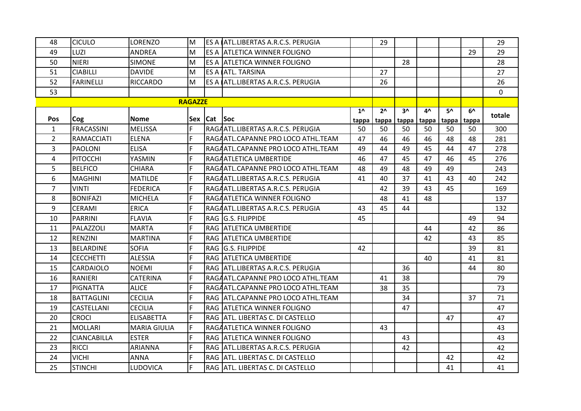| 48             | <b>CICULO</b>      | LORENZO             | M              |             | ES A ATL.LIBERTAS A.R.C.S. PERUGIA |              | 29           |              |       |       |       | 29           |
|----------------|--------------------|---------------------|----------------|-------------|------------------------------------|--------------|--------------|--------------|-------|-------|-------|--------------|
| 49             | LUZI               | <b>ANDREA</b>       | M              |             | ES A JATLETICA WINNER FOLIGNO      |              |              |              |       |       | 29    | 29           |
| 50             | <b>NIERI</b>       | <b>SIMONE</b>       | M              |             | ES A ATLETICA WINNER FOLIGNO       |              |              | 28           |       |       |       | 28           |
| 51             | <b>CIABILLI</b>    | <b>DAVIDE</b>       | M              |             | ES A (ATL. TARSINA                 |              | 27           |              |       |       |       | 27           |
| 52             | <b>FARINELLI</b>   | <b>RICCARDO</b>     | M              |             | ES A ATL.LIBERTAS A.R.C.S. PERUGIA |              | 26           |              |       |       |       | 26           |
| 53             |                    |                     |                |             |                                    |              |              |              |       |       |       | $\mathbf{0}$ |
|                |                    |                     | <b>RAGAZZE</b> |             |                                    |              |              |              |       |       |       |              |
|                |                    |                     |                |             |                                    | $1^{\wedge}$ | $2^{\wedge}$ | $3^{\prime}$ | 4^    | 5۸    | 6^    | totale       |
| <b>Pos</b>     | Cog                | <b>Nome</b>         |                | Sex Cat Soc |                                    | tappa        | tappa        | tappa        | tappa | tappa | tappa |              |
| $\mathbf{1}$   | <b>FRACASSINI</b>  | <b>MELISSA</b>      | F              |             | RAGAATL.LIBERTAS A.R.C.S. PERUGIA  | 50           | 50           | 50           | 50    | 50    | 50    | 300          |
| $\overline{2}$ | <b>RAMACCIATI</b>  | <b>ELENA</b>        | F              |             | RAGAATL.CAPANNE PRO LOCO ATHL.TEAM | 47           | 46           | 46           | 46    | 48    | 48    | 281          |
| 3              | <b>PAOLONI</b>     | <b>ELISA</b>        | F              |             | RAGAATL.CAPANNE PRO LOCO ATHL.TEAM | 49           | 44           | 49           | 45    | 44    | 47    | 278          |
| 4              | <b>PITOCCHI</b>    | YASMIN              | F              |             | RAGAATLETICA UMBERTIDE             | 46           | 47           | 45           | 47    | 46    | 45    | 276          |
| 5.             | <b>BELFICO</b>     | <b>CHIARA</b>       | F              |             | RAGAATL.CAPANNE PRO LOCO ATHL.TEAM | 48           | 49           | 48           | 49    | 49    |       | 243          |
| 6              | <b>MAGHINI</b>     | <b>MATILDE</b>      | F              |             | RAGAATL.LIBERTAS A.R.C.S. PERUGIA  | 41           | 40           | 37           | 41    | 43    | 40    | 242          |
| $\overline{7}$ | <b>VINTI</b>       | <b>FEDERICA</b>     | F              |             | RAGAATL.LIBERTAS A.R.C.S. PERUGIA  |              | 42           | 39           | 43    | 45    |       | 169          |
| 8              | <b>BONIFAZI</b>    | <b>MICHELA</b>      | F              |             | RAGAATLETICA WINNER FOLIGNO        |              | 48           | 41           | 48    |       |       | 137          |
| 9              | <b>CERAMI</b>      | <b>ERICA</b>        | F              |             | RAGAATL.LIBERTAS A.R.C.S. PERUGIA  | 43           | 45           | 44           |       |       |       | 132          |
| 10             | <b>PARRINI</b>     | <b>FLAVIA</b>       | F              |             | RAG G.S. FILIPPIDE                 | 45           |              |              |       |       | 49    | 94           |
| 11             | PALAZZOLI          | <b>MARTA</b>        | F              |             | RAG ATLETICA UMBERTIDE             |              |              |              | 44    |       | 42    | 86           |
| 12             | <b>RENZINI</b>     | <b>MARTINA</b>      | F              |             | <b>RAG ATLETICA UMBERTIDE</b>      |              |              |              | 42    |       | 43    | 85           |
| 13             | <b>BELARDINE</b>   | <b>SOFIA</b>        | F              |             | RAG G.S. FILIPPIDE                 | 42           |              |              |       |       | 39    | 81           |
| 14             | <b>CECCHETTI</b>   | <b>ALESSIA</b>      | F              |             | RAG IATLETICA UMBERTIDE            |              |              |              | 40    |       | 41    | 81           |
| 15             | <b>CARDAIOLO</b>   | <b>NOEMI</b>        | F              |             | RAG ATL.LIBERTAS A.R.C.S. PERUGIA  |              |              | 36           |       |       | 44    | 80           |
| 16             | <b>RANIERI</b>     | CATERINA            | F              |             | RAGAATL.CAPANNE PRO LOCO ATHL.TEAM |              | 41           | 38           |       |       |       | 79           |
| 17             | <b>PIGNATTA</b>    | <b>ALICE</b>        | F              |             | RAGAATL.CAPANNE PRO LOCO ATHL.TEAM |              | 38           | 35           |       |       |       | 73           |
| 18             | <b>BATTAGLINI</b>  | <b>CECILIA</b>      | F              |             | RAG ATL.CAPANNE PRO LOCO ATHL.TEAM |              |              | 34           |       |       | 37    | 71           |
| 19             | <b>CASTELLANI</b>  | <b>CECILIA</b>      | F              |             | RAG ATLETICA WINNER FOLIGNO        |              |              | 47           |       |       |       | 47           |
| 20             | <b>CROCI</b>       | <b>ELISABETTA</b>   | F              |             | RAG ATL. LIBERTAS C. DI CASTELLO   |              |              |              |       | 47    |       | 47           |
| 21             | <b>MOLLARI</b>     | <b>MARIA GIULIA</b> | F              |             | RAGAATLETICA WINNER FOLIGNO        |              | 43           |              |       |       |       | 43           |
| 22             | <b>CIANCABILLA</b> | <b>ESTER</b>        | F              |             | RAG ATLETICA WINNER FOLIGNO        |              |              | 43           |       |       |       | 43           |
| 23             | <b>RICCI</b>       | ARIANNA             | F              |             | RAG ATL.LIBERTAS A.R.C.S. PERUGIA  |              |              | 42           |       |       |       | 42           |
| 24             | <b>VICHI</b>       | <b>ANNA</b>         | F              |             | RAG ATL. LIBERTAS C. DI CASTELLO   |              |              |              |       | 42    |       | 42           |
| 25             | <b>STINCHI</b>     | LUDOVICA            | F              |             | RAG ATL. LIBERTAS C. DI CASTELLO   |              |              |              |       | 41    |       | 41           |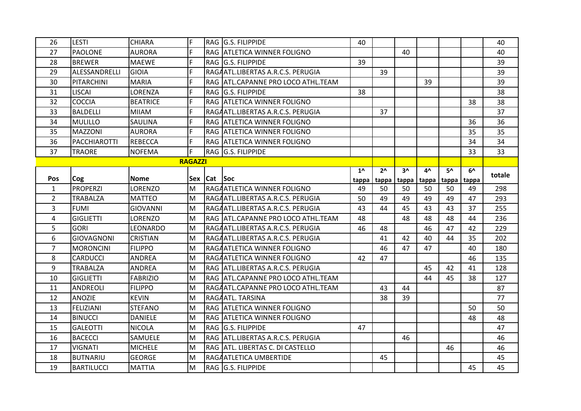| 26             | LESTI               | <b>CHIARA</b>   | F              |                 | RAG G.S. FILIPPIDE                  | 40           |              |       |       |       |       | 40     |
|----------------|---------------------|-----------------|----------------|-----------------|-------------------------------------|--------------|--------------|-------|-------|-------|-------|--------|
| 27             | <b>PAOLONE</b>      | <b>AURORA</b>   | F              |                 | RAG ATLETICA WINNER FOLIGNO         |              |              | 40    |       |       |       | 40     |
| 28             | <b>BREWER</b>       | <b>MAEWE</b>    | F              |                 | RAG G.S. FILIPPIDE                  | 39           |              |       |       |       |       | 39     |
| 29             | ALESSANDRELLI       | <b>GIOIA</b>    | F              |                 | RAGAATL.LIBERTAS A.R.C.S. PERUGIA   |              | 39           |       |       |       |       | 39     |
| 30             | PITARCHINI          | <b>MARIA</b>    | F              |                 | RAG ATL.CAPANNE PRO LOCO ATHL.TEAM  |              |              |       | 39    |       |       | 39     |
| 31             | <b>LISCAI</b>       | LORENZA         | F              |                 | RAG G.S. FILIPPIDE                  | 38           |              |       |       |       |       | 38     |
| 32             | <b>COCCIA</b>       | <b>BEATRICE</b> | F              |                 | <b>RAG ATLETICA WINNER FOLIGNO</b>  |              |              |       |       |       | 38    | 38     |
| 33             | <b>BALDELLI</b>     | <b>MIIAM</b>    | F              |                 | RAGAATL.LIBERTAS A.R.C.S. PERUGIA   |              | 37           |       |       |       |       | 37     |
| 34             | <b>MULILLO</b>      | SAULINA         | F              |                 | RAG ATLETICA WINNER FOLIGNO         |              |              |       |       |       | 36    | 36     |
| 35             | <b>MAZZONI</b>      | <b>AURORA</b>   | F              |                 | RAG ATLETICA WINNER FOLIGNO         |              |              |       |       |       | 35    | 35     |
| 36             | <b>PACCHIAROTTI</b> | <b>REBECCA</b>  | E              |                 | RAG ATLETICA WINNER FOLIGNO         |              |              |       |       |       | 34    | 34     |
| 37             | <b>TRAORE</b>       | <b>NOFEMA</b>   | F              |                 | RAG G.S. FILIPPIDE                  |              |              |       |       |       | 33    | 33     |
|                |                     |                 | <b>RAGAZZI</b> |                 |                                     |              |              |       |       |       |       |        |
|                |                     |                 |                |                 |                                     | $1^{\wedge}$ | $2^{\wedge}$ | $3^$  | 4^    | 5۸    | 6^    | totale |
| Pos            | Cog                 | <b>Nome</b>     |                | Sex   Cat   Soc |                                     | tappa        | tappa        | tappa | tappa | tappa | tappa |        |
| $\mathbf{1}$   | <b>PROPERZI</b>     | LORENZO         | M              |                 | RAGAATLETICA WINNER FOLIGNO         | 49           | 50           | 50    | 50    | 50    | 49    | 298    |
| $\overline{2}$ | <b>TRABALZA</b>     | <b>MATTEO</b>   | M              |                 | RAGAATL.LIBERTAS A.R.C.S. PERUGIA   | 50           | 49           | 49    | 49    | 49    | 47    | 293    |
| 3              | <b>FUMI</b>         | <b>GIOVANNI</b> | M              |                 | RAGAATL.LIBERTAS A.R.C.S. PERUGIA   | 43           | 44           | 45    | 43    | 43    | 37    | 255    |
| 4              | <b>GIGLIETTI</b>    | LORENZO         | lм             |                 | RAG  ATL.CAPANNE PRO LOCO ATHL.TEAM | 48           |              | 48    | 48    | 48    | 44    | 236    |
| 5              | <b>GORI</b>         | LEONARDO        | lм             |                 | RAGAATL.LIBERTAS A.R.C.S. PERUGIA   | 46           | 48           |       | 46    | 47    | 42    | 229    |
| 6              | <b>GIOVAGNONI</b>   | <b>CRISTIAN</b> | lм             |                 | RAGAATL.LIBERTAS A.R.C.S. PERUGIA   |              | 41           | 42    | 40    | 44    | 35    | 202    |
| $\overline{7}$ | <b>MORONCINI</b>    | <b>FILIPPO</b>  | lм             |                 | RAGAATLETICA WINNER FOLIGNO         |              | 46           | 47    | 47    |       | 40    | 180    |
| 8              | <b>CARDUCCI</b>     | ANDREA          | M              |                 | RAGAATLETICA WINNER FOLIGNO         | 42           | 47           |       |       |       | 46    | 135    |
| 9              | <b>TRABALZA</b>     | <b>ANDREA</b>   | lм             |                 | RAG ATL.LIBERTAS A.R.C.S. PERUGIA   |              |              |       | 45    | 42    | 41    | 128    |
| 10             | <b>GIGLIETTI</b>    | FABRIZIO        | M              |                 | RAG ATL.CAPANNE PRO LOCO ATHL.TEAM  |              |              |       | 44    | 45    | 38    | 127    |
| 11             | <b>ANDREOLI</b>     | <b>FILIPPO</b>  | lм             |                 | RAGAATL.CAPANNE PRO LOCO ATHL.TEAM  |              | 43           | 44    |       |       |       | 87     |
| 12             | <b>ANOZIE</b>       | <b>KEVIN</b>    | lм             |                 | RAGAATL. TARSINA                    |              | 38           | 39    |       |       |       | 77     |
| 13             | FELIZIANI           | <b>STEFANO</b>  | M              |                 | <b>RAG ATLETICA WINNER FOLIGNO</b>  |              |              |       |       |       | 50    | 50     |
| 14             | <b>BINUCCI</b>      | <b>DANIELE</b>  | lм             |                 | <b>RAG ATLETICA WINNER FOLIGNO</b>  |              |              |       |       |       | 48    | 48     |
| 15             | <b>GALEOTTI</b>     | <b>NICOLA</b>   | M              |                 | <b>RAG G.S. FILIPPIDE</b>           | 47           |              |       |       |       |       | 47     |
| 16             | <b>BACECCI</b>      | SAMUELE         | lм             |                 | RAG ATL.LIBERTAS A.R.C.S. PERUGIA   |              |              | 46    |       |       |       | 46     |
| 17             | <b>VIGNATI</b>      | <b>MICHELE</b>  | lм             |                 | RAG  ATL. LIBERTAS C. DI CASTELLO   |              |              |       |       | 46    |       | 46     |
| 18             | <b>BUTNARIU</b>     | <b>GEORGE</b>   | M              |                 | RAGAATLETICA UMBERTIDE              |              | 45           |       |       |       |       | 45     |
| 19             | <b>BARTILUCCI</b>   | <b>MATTIA</b>   | İМ             |                 | <b>RAG G.S. FILIPPIDE</b>           |              |              |       |       |       | 45    | 45     |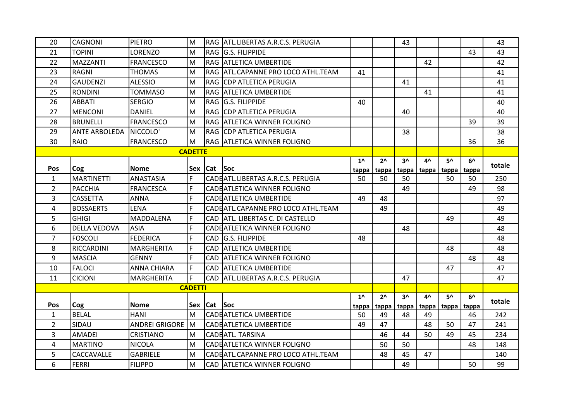| 20             | CAGNONI              | <b>PIETRO</b>         | M              |                 | RAG ATL.LIBERTAS A.R.C.S. PERUGIA   |              |              | 43    |       |             |              | 43     |
|----------------|----------------------|-----------------------|----------------|-----------------|-------------------------------------|--------------|--------------|-------|-------|-------------|--------------|--------|
| 21             | <b>TOPINI</b>        | LORENZO               | M              |                 | RAG G.S. FILIPPIDE                  |              |              |       |       |             | 43           | 43     |
| 22             | <b>MAZZANTI</b>      | <b>FRANCESCO</b>      | M              |                 | RAG ATLETICA UMBERTIDE              |              |              |       | 42    |             |              | 42     |
| 23             | <b>RAGNI</b>         | <b>THOMAS</b>         | M              |                 | RAG ATL.CAPANNE PRO LOCO ATHL.TEAM  | 41           |              |       |       |             |              | 41     |
| 24             | <b>GAUDENZI</b>      | <b>ALESSIO</b>        | M              |                 | RAG CDP ATLETICA PERUGIA            |              |              | 41    |       |             |              | 41     |
| 25             | <b>RONDINI</b>       | <b>TOMMASO</b>        | M              |                 | RAG ATLETICA UMBERTIDE              |              |              |       | 41    |             |              | 41     |
| 26             | <b>ABBATI</b>        | <b>SERGIO</b>         | M              |                 | RAG G.S. FILIPPIDE                  | 40           |              |       |       |             |              | 40     |
| 27             | <b>MENCONI</b>       | <b>DANIEL</b>         | M              |                 | <b>RAG CDP ATLETICA PERUGIA</b>     |              |              | 40    |       |             |              | 40     |
| 28             | <b>BRUNELLI</b>      | <b>FRANCESCO</b>      | M              |                 | RAG ATLETICA WINNER FOLIGNO         |              |              |       |       |             | 39           | 39     |
| 29             | <b>ANTE ARBOLEDA</b> | NICCOLO'              | M              |                 | <b>RAG CDP ATLETICA PERUGIA</b>     |              |              | 38    |       |             |              | 38     |
| 30             | RAIO                 | <b>FRANCESCO</b>      | M              |                 | <b>RAG ATLETICA WINNER FOLIGNO</b>  |              |              |       |       |             | 36           | 36     |
|                |                      |                       | <b>CADETTE</b> |                 |                                     |              |              |       |       |             |              |        |
|                |                      |                       |                |                 |                                     | $1^{\prime}$ | $2^{\wedge}$ | $3^$  | 4^    | 5۸          | $6^{\prime}$ | totale |
| Pos            | Cog                  | <b>Nome</b>           |                | Sex   Cat   Soc |                                     | tappa        | tappa        | tappa |       | tappa tappa | tappa        |        |
| $\mathbf{1}$   | <b>MARTINETTI</b>    | <b>ANASTASIA</b>      | F              |                 | CADE ATL.LIBERTAS A.R.C.S. PERUGIA  | 50           | 50           | 50    |       | 50          | 50           | 250    |
| $\overline{2}$ | <b>PACCHIA</b>       | <b>FRANCESCA</b>      | F              |                 | CADE ATLETICA WINNER FOLIGNO        |              |              | 49    |       |             | 49           | 98     |
| 3              | <b>CASSETTA</b>      | <b>ANNA</b>           | F              |                 | CADE ATLETICA UMBERTIDE             | 49           | 48           |       |       |             |              | 97     |
| 4              | <b>BOSSAERTS</b>     | <b>LENA</b>           | F              |                 | CADE ATL.CAPANNE PRO LOCO ATHL.TEAM |              | 49           |       |       |             |              | 49     |
| 5              | <b>GHIGI</b>         | MADDALENA             | F              |                 | CAD ATL. LIBERTAS C. DI CASTELLO    |              |              |       |       | 49          |              | 49     |
| 6              | <b>DELLA VEDOVA</b>  | <b>ASIA</b>           | F              |                 | CADE ATLETICA WINNER FOLIGNO        |              |              | 48    |       |             |              | 48     |
| $\overline{7}$ | <b>FOSCOLI</b>       | <b>FEDERICA</b>       | F              |                 | CAD G.S. FILIPPIDE                  | 48           |              |       |       |             |              | 48     |
| 8              | RICCARDINI           | <b>MARGHERITA</b>     | F              |                 | CAD ATLETICA UMBERTIDE              |              |              |       |       | 48          |              | 48     |
| 9              | <b>MASCIA</b>        | <b>GENNY</b>          | F              |                 | CAD ATLETICA WINNER FOLIGNO         |              |              |       |       |             | 48           | 48     |
| 10             | <b>FALOCI</b>        | <b>ANNA CHIARA</b>    | lF.            |                 | CAD ATLETICA UMBERTIDE              |              |              |       |       | 47          |              | 47     |
| 11             | <b>CICIONI</b>       | <b>MARGHERITA</b>     | F              |                 | CAD ATL.LIBERTAS A.R.C.S. PERUGIA   |              |              | 47    |       |             |              | 47     |
|                |                      |                       | <b>CADETTI</b> |                 |                                     |              |              |       |       |             |              |        |
|                |                      |                       |                |                 |                                     | $1^{\prime}$ | $2^{\wedge}$ | $3^$  | 4^    | 5۸          | $6^{\prime}$ | totale |
| Pos            | Cog                  | <b>Nome</b>           |                | Sex   Cat   Soc |                                     | tappa        | tappa        | tappa | tappa | tappa tappa |              |        |
| $\mathbf{1}$   | <b>BELAL</b>         | <b>HANI</b>           | M              |                 | <b>CADEATLETICA UMBERTIDE</b>       | 50           | 49           | 48    | 49    |             | 46           | 242    |
| $\overline{2}$ | SIDAU                | <b>ANDREI GRIGORE</b> | <b>M</b>       |                 | CADE ATLETICA UMBERTIDE             | 49           | 47           |       | 48    | 50          | 47           | 241    |
| 3              | <b>AMADEI</b>        | <b>CRISTIANO</b>      | M              |                 | <b>CADEATL. TARSINA</b>             |              | 46           | 44    | 50    | 49          | 45           | 234    |
| 4              | <b>MARTINO</b>       | <b>NICOLA</b>         | M              |                 | CADE ATLETICA WINNER FOLIGNO        |              | 50           | 50    |       |             | 48           | 148    |
| 5              | CACCAVALLE           | <b>GABRIELE</b>       | M              |                 | CADE ATL.CAPANNE PRO LOCO ATHL.TEAM |              | 48           | 45    | 47    |             |              | 140    |
| 6              | <b>FERRI</b>         | <b>FILIPPO</b>        | M              |                 | CAD ATLETICA WINNER FOLIGNO         |              |              | 49    |       |             | 50           | 99     |